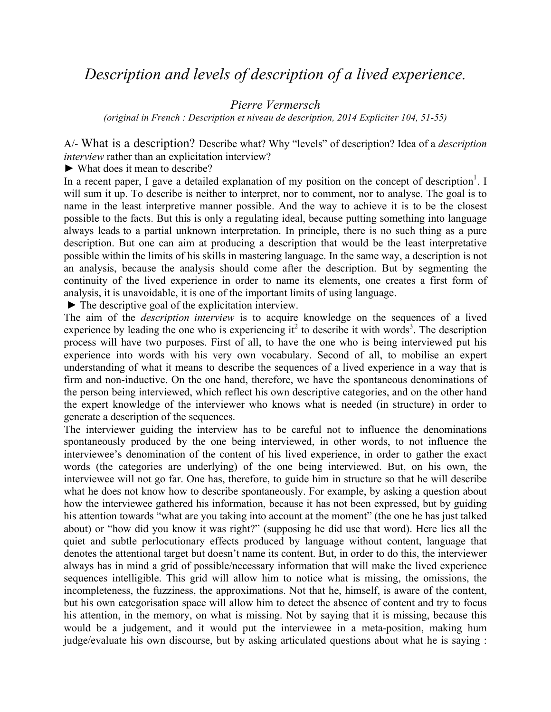# *Description and levels of description of a lived experience.*

*Pierre Vermersch*

*(original in French : Description et niveau de description, 2014 Expliciter 104, 51-55)*

A/- What is a description? Describe what? Why "levels" of description? Idea of a *description interview* rather than an explicitation interview?

► What does it mean to describe?

In a recent paper, I gave a detailed explanation of my position on the concept of description<sup>1</sup>. I will sum it up. To describe is neither to interpret, nor to comment, nor to analyse. The goal is to name in the least interpretive manner possible. And the way to achieve it is to be the closest possible to the facts. But this is only a regulating ideal, because putting something into language always leads to a partial unknown interpretation. In principle, there is no such thing as a pure description. But one can aim at producing a description that would be the least interpretative possible within the limits of his skills in mastering language. In the same way, a description is not an analysis, because the analysis should come after the description. But by segmenting the continuity of the lived experience in order to name its elements, one creates a first form of analysis, it is unavoidable, it is one of the important limits of using language.

 $\blacktriangleright$  The descriptive goal of the explicitation interview.

The aim of the *description interview* is to acquire knowledge on the sequences of a lived experience by leading the one who is experiencing it<sup>2</sup> to describe it with words<sup>3</sup>. The description process will have two purposes. First of all, to have the one who is being interviewed put his experience into words with his very own vocabulary. Second of all, to mobilise an expert understanding of what it means to describe the sequences of a lived experience in a way that is firm and non-inductive. On the one hand, therefore, we have the spontaneous denominations of the person being interviewed, which reflect his own descriptive categories, and on the other hand the expert knowledge of the interviewer who knows what is needed (in structure) in order to generate a description of the sequences.

The interviewer guiding the interview has to be careful not to influence the denominations spontaneously produced by the one being interviewed, in other words, to not influence the interviewee's denomination of the content of his lived experience, in order to gather the exact words (the categories are underlying) of the one being interviewed. But, on his own, the interviewee will not go far. One has, therefore, to guide him in structure so that he will describe what he does not know how to describe spontaneously. For example, by asking a question about how the interviewee gathered his information, because it has not been expressed, but by guiding his attention towards "what are you taking into account at the moment" (the one he has just talked about) or "how did you know it was right?" (supposing he did use that word). Here lies all the quiet and subtle perlocutionary effects produced by language without content, language that denotes the attentional target but doesn't name its content. But, in order to do this, the interviewer always has in mind a grid of possible/necessary information that will make the lived experience sequences intelligible. This grid will allow him to notice what is missing, the omissions, the incompleteness, the fuzziness, the approximations. Not that he, himself, is aware of the content, but his own categorisation space will allow him to detect the absence of content and try to focus his attention, in the memory, on what is missing. Not by saying that it is missing, because this would be a judgement, and it would put the interviewee in a meta-position, making hum judge/evaluate his own discourse, but by asking articulated questions about what he is saying :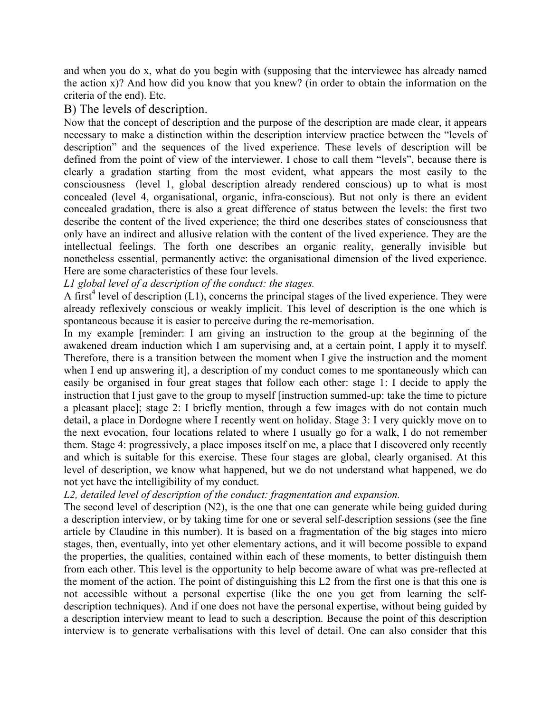and when you do x, what do you begin with (supposing that the interviewee has already named the action x)? And how did you know that you knew? (in order to obtain the information on the criteria of the end). Etc.

## B) The levels of description.

Now that the concept of description and the purpose of the description are made clear, it appears necessary to make a distinction within the description interview practice between the "levels of description" and the sequences of the lived experience. These levels of description will be defined from the point of view of the interviewer. I chose to call them "levels", because there is clearly a gradation starting from the most evident, what appears the most easily to the consciousness (level 1, global description already rendered conscious) up to what is most concealed (level 4, organisational, organic, infra-conscious). But not only is there an evident concealed gradation, there is also a great difference of status between the levels: the first two describe the content of the lived experience; the third one describes states of consciousness that only have an indirect and allusive relation with the content of the lived experience. They are the intellectual feelings. The forth one describes an organic reality, generally invisible but nonetheless essential, permanently active: the organisational dimension of the lived experience. Here are some characteristics of these four levels.

### *L1 global level of a description of the conduct: the stages.*

A first<sup>4</sup> level of description  $(L1)$ , concerns the principal stages of the lived experience. They were already reflexively conscious or weakly implicit. This level of description is the one which is spontaneous because it is easier to perceive during the re-memorisation.

In my example [reminder: I am giving an instruction to the group at the beginning of the awakened dream induction which I am supervising and, at a certain point, I apply it to myself. Therefore, there is a transition between the moment when I give the instruction and the moment when I end up answering it], a description of my conduct comes to me spontaneously which can easily be organised in four great stages that follow each other: stage 1: I decide to apply the instruction that I just gave to the group to myself [instruction summed-up: take the time to picture a pleasant place]; stage 2: I briefly mention, through a few images with do not contain much detail, a place in Dordogne where I recently went on holiday. Stage 3: I very quickly move on to the next evocation, four locations related to where I usually go for a walk, I do not remember them. Stage 4: progressively, a place imposes itself on me, a place that I discovered only recently and which is suitable for this exercise. These four stages are global, clearly organised. At this level of description, we know what happened, but we do not understand what happened, we do not yet have the intelligibility of my conduct.

### *L2, detailed level of description of the conduct: fragmentation and expansion.*

The second level of description (N2), is the one that one can generate while being guided during a description interview, or by taking time for one or several self-description sessions (see the fine article by Claudine in this number). It is based on a fragmentation of the big stages into micro stages, then, eventually, into yet other elementary actions, and it will become possible to expand the properties, the qualities, contained within each of these moments, to better distinguish them from each other. This level is the opportunity to help become aware of what was pre-reflected at the moment of the action. The point of distinguishing this L2 from the first one is that this one is not accessible without a personal expertise (like the one you get from learning the selfdescription techniques). And if one does not have the personal expertise, without being guided by a description interview meant to lead to such a description. Because the point of this description interview is to generate verbalisations with this level of detail. One can also consider that this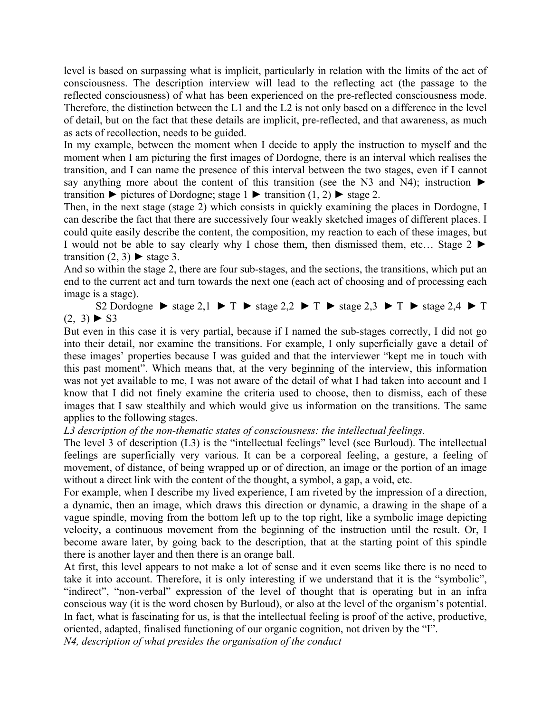level is based on surpassing what is implicit, particularly in relation with the limits of the act of consciousness. The description interview will lead to the reflecting act (the passage to the reflected consciousness) of what has been experienced on the pre-reflected consciousness mode. Therefore, the distinction between the L1 and the L2 is not only based on a difference in the level of detail, but on the fact that these details are implicit, pre-reflected, and that awareness, as much as acts of recollection, needs to be guided.

In my example, between the moment when I decide to apply the instruction to myself and the moment when I am picturing the first images of Dordogne, there is an interval which realises the transition, and I can name the presence of this interval between the two stages, even if I cannot say anything more about the content of this transition (see the N3 and N4); instruction ► transition  $\blacktriangleright$  pictures of Dordogne; stage 1  $\blacktriangleright$  transition (1, 2)  $\blacktriangleright$  stage 2.

Then, in the next stage (stage 2) which consists in quickly examining the places in Dordogne, I can describe the fact that there are successively four weakly sketched images of different places. I could quite easily describe the content, the composition, my reaction to each of these images, but I would not be able to say clearly why I chose them, then dismissed them, etc... Stage  $2 \blacktriangleright$ transition  $(2, 3)$   $\blacktriangleright$  stage 3.

And so within the stage 2, there are four sub-stages, and the sections, the transitions, which put an end to the current act and turn towards the next one (each act of choosing and of processing each image is a stage).

S2 Dordogne  $\triangleright$  stage 2,1  $\triangleright$  T  $\triangleright$  stage 2,2  $\triangleright$  T  $\triangleright$  stage 2,3  $\triangleright$  T  $\triangleright$  stage 2,4  $\triangleright$  T  $(2, 3)$   $\triangleright$  S3

But even in this case it is very partial, because if I named the sub-stages correctly, I did not go into their detail, nor examine the transitions. For example, I only superficially gave a detail of these images' properties because I was guided and that the interviewer "kept me in touch with this past moment". Which means that, at the very beginning of the interview, this information was not yet available to me, I was not aware of the detail of what I had taken into account and I know that I did not finely examine the criteria used to choose, then to dismiss, each of these images that I saw stealthily and which would give us information on the transitions. The same applies to the following stages.

### *L3 description of the non-thematic states of consciousness: the intellectual feelings.*

The level 3 of description (L3) is the "intellectual feelings" level (see Burloud). The intellectual feelings are superficially very various. It can be a corporeal feeling, a gesture, a feeling of movement, of distance, of being wrapped up or of direction, an image or the portion of an image without a direct link with the content of the thought, a symbol, a gap, a void, etc.

For example, when I describe my lived experience, I am riveted by the impression of a direction, a dynamic, then an image, which draws this direction or dynamic, a drawing in the shape of a vague spindle, moving from the bottom left up to the top right, like a symbolic image depicting velocity, a continuous movement from the beginning of the instruction until the result. Or, I become aware later, by going back to the description, that at the starting point of this spindle there is another layer and then there is an orange ball.

At first, this level appears to not make a lot of sense and it even seems like there is no need to take it into account. Therefore, it is only interesting if we understand that it is the "symbolic", "indirect", "non-verbal" expression of the level of thought that is operating but in an infra conscious way (it is the word chosen by Burloud), or also at the level of the organism's potential. In fact, what is fascinating for us, is that the intellectual feeling is proof of the active, productive, oriented, adapted, finalised functioning of our organic cognition, not driven by the "I".

*N4, description of what presides the organisation of the conduct*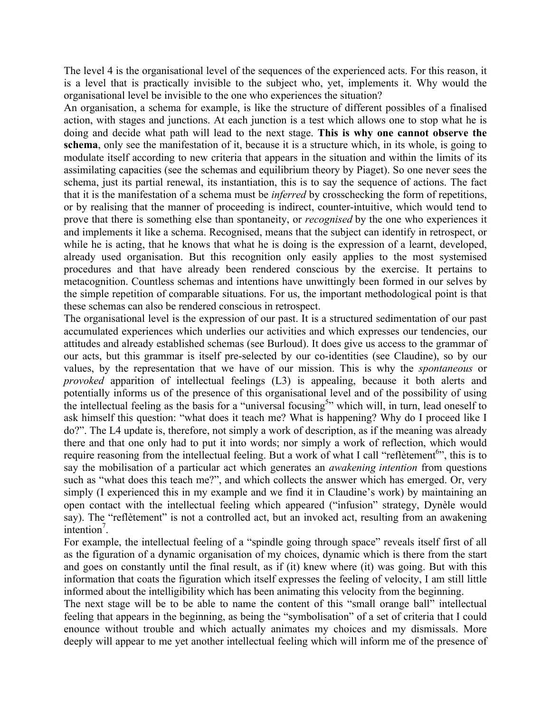The level 4 is the organisational level of the sequences of the experienced acts. For this reason, it is a level that is practically invisible to the subject who, yet, implements it. Why would the organisational level be invisible to the one who experiences the situation?

An organisation, a schema for example, is like the structure of different possibles of a finalised action, with stages and junctions. At each junction is a test which allows one to stop what he is doing and decide what path will lead to the next stage. **This is why one cannot observe the schema**, only see the manifestation of it, because it is a structure which, in its whole, is going to modulate itself according to new criteria that appears in the situation and within the limits of its assimilating capacities (see the schemas and equilibrium theory by Piaget). So one never sees the schema, just its partial renewal, its instantiation, this is to say the sequence of actions. The fact that it is the manifestation of a schema must be *inferred* by crosschecking the form of repetitions, or by realising that the manner of proceeding is indirect, counter-intuitive, which would tend to prove that there is something else than spontaneity, or *recognised* by the one who experiences it and implements it like a schema. Recognised, means that the subject can identify in retrospect, or while he is acting, that he knows that what he is doing is the expression of a learnt, developed, already used organisation. But this recognition only easily applies to the most systemised procedures and that have already been rendered conscious by the exercise. It pertains to metacognition. Countless schemas and intentions have unwittingly been formed in our selves by the simple repetition of comparable situations. For us, the important methodological point is that these schemas can also be rendered conscious in retrospect.

The organisational level is the expression of our past. It is a structured sedimentation of our past accumulated experiences which underlies our activities and which expresses our tendencies, our attitudes and already established schemas (see Burloud). It does give us access to the grammar of our acts, but this grammar is itself pre-selected by our co-identities (see Claudine), so by our values, by the representation that we have of our mission. This is why the *spontaneous* or *provoked* apparition of intellectual feelings (L3) is appealing, because it both alerts and potentially informs us of the presence of this organisational level and of the possibility of using the intellectual feeling as the basis for a "universal focusing<sup>5</sup>" which will, in turn, lead oneself to ask himself this question: "what does it teach me? What is happening? Why do I proceed like I do?". The L4 update is, therefore, not simply a work of description, as if the meaning was already there and that one only had to put it into words; nor simply a work of reflection, which would require reasoning from the intellectual feeling. But a work of what I call "reflètement<sup>6</sup>", this is to say the mobilisation of a particular act which generates an *awakening intention* from questions such as "what does this teach me?", and which collects the answer which has emerged. Or, very simply (I experienced this in my example and we find it in Claudine's work) by maintaining an open contact with the intellectual feeling which appeared ("infusion" strategy, Dynèle would say). The "reflètement" is not a controlled act, but an invoked act, resulting from an awakening  $interition<sup>7</sup>$ .

For example, the intellectual feeling of a "spindle going through space" reveals itself first of all as the figuration of a dynamic organisation of my choices, dynamic which is there from the start and goes on constantly until the final result, as if (it) knew where (it) was going. But with this information that coats the figuration which itself expresses the feeling of velocity, I am still little informed about the intelligibility which has been animating this velocity from the beginning.

The next stage will be to be able to name the content of this "small orange ball" intellectual feeling that appears in the beginning, as being the "symbolisation" of a set of criteria that I could enounce without trouble and which actually animates my choices and my dismissals. More deeply will appear to me yet another intellectual feeling which will inform me of the presence of